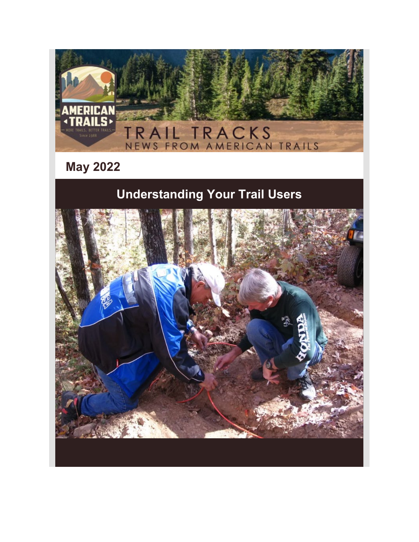

**May 2022**

# **Understanding Your Trail Users**

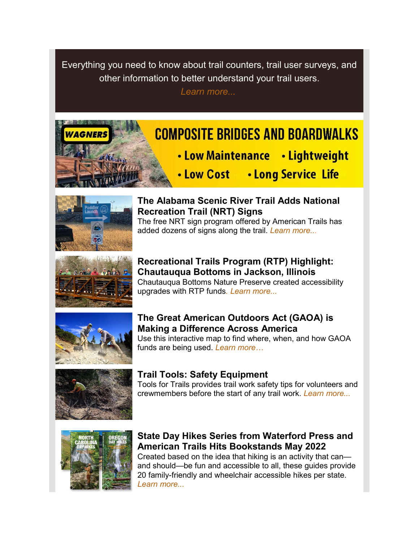Everything you need to know about trail counters, trail user surveys, and other information to better understand your trail users.

*[Learn more...](https://u25484667.ct.sendgrid.net/ls/click?upn=spMD8OG2H5kz-2FnkHtFQbJwoqCpVUFOC1eysy1JYRAJvNqUh-2BH9Y-2F1NPk9ZoEP3LNqb7mAzJwjFn6fLhfwgQY1naenryBSKqjR4EVKdkAsl4vJ8D16xf0wNyeOdk0kzjhjXzH4POER0gyJUYpfBpJ1g-3D-3DZNcZ_ABl4bEPcLNiqMgjPKXti6X32k0fPpnwQVHa0keQVbbAcmYog8s8GppA26ECFnPoXFCyt5QoMJs-2F0MsJgS4Pud6eoqpg55fuHQgUG5o0Lie82p9yf9dyYMT398b14-2BAcroo7dV5VBcsiLNO94sBwVKAzaTni77c8cwicrY6zyD5GIqTbmGc-2FbC1yPw4mVvqPhe-2FsFS2MMX-2Bi0cObzbAS9QUK7ftS7ShNMxaX0eukT-2B6JvymVZZGZ-2FQ8LTlBT2tc048pLvJr5Ys8Hp83tyRyjkbAygDVEyCnv6i74-2FFJ8GUstu6UGu8QcMaMw5enHjHC3lqdKkvxuGFnBzn3OsfD8djql3d3IdgeBTAFigtTRl3DImBPyjxnvm8vhBl9GdrDr3)*

# **COMPOSITE BRIDGES AND BOARDWALKS**

- Low Maintenance Lightweight
- . Low Cost . Long Service Life



## **The Alabama Scenic River Trail Adds National Recreation Trail (NRT) Signs**

The free NRT sign program offered by American Trails has added dozens of signs along the trail. *[Learn more...](https://u25484667.ct.sendgrid.net/ls/click?upn=spMD8OG2H5kz-2FnkHtFQbJwoqCpVUFOC1eysy1JYRAJvNqUh-2BH9Y-2F1NPk9ZoEP3LNlxmZl31C1LS73rzC3FHKWLL2cnRRWcMRd9bvpHCuox8CqK-2FJs-2FZZep4szeQ-2BV207ejO2GX5xOf9q3FskcpiDdgLttXYcnAUfLCnjPrSqfWW88m5V2VqLsRyhglUbaiqPGjWj_ABl4bEPcLNiqMgjPKXti6X32k0fPpnwQVHa0keQVbbAcmYog8s8GppA26ECFnPoXFCyt5QoMJs-2F0MsJgS4Pud6eoqpg55fuHQgUG5o0Lie82p9yf9dyYMT398b14-2BAcroo7dV5VBcsiLNO94sBwVKAzaTni77c8cwicrY6zyD5GIqTbmGc-2FbC1yPw4mVvqPhe-2FsFS2MMX-2Bi0cObzbAS9QUK7ftS7ShNMxaX0eukT-2B6JissJ0OEcjFBDy1PFWOhbbN6A6PsZpS3ip-2FYg1c2f6XLjjx8GAK7U21XUkE4gbHUrT5qBmXHvvAHFJHq-2F3zj3Qjcpt34GShnRP-2B9OtX8ivVn1OGdu2dnnUQs-2BauPvXdvh8Wt66lc9VLEK6E3QaJ6sp)*



**Recreational Trails Program (RTP) Highlight: Chautauqua Bottoms in Jackson, Illinois**  Chautauqua Bottoms Nature Preserve created accessibility upgrades with RTP funds*[.](https://u25484667.ct.sendgrid.net/ls/click?upn=spMD8OG2H5kz-2FnkHtFQbJwoqCpVUFOC1eysy1JYRAJvNqUh-2BH9Y-2F1NPk9ZoEP3LNoXD3UU4PjjN4hl-2F3-2BA0XG3P-2BbZIid9JiZmBzuw2-2BM8zMkEMIuqKxezT2juztU1rEc3BV_ABl4bEPcLNiqMgjPKXti6X32k0fPpnwQVHa0keQVbbAcmYog8s8GppA26ECFnPoXFCyt5QoMJs-2F0MsJgS4Pud6eoqpg55fuHQgUG5o0Lie82p9yf9dyYMT398b14-2BAcroo7dV5VBcsiLNO94sBwVKAzaTni77c8cwicrY6zyD5GIqTbmGc-2FbC1yPw4mVvqPhe-2FsFS2MMX-2Bi0cObzbAS9QUK7ftS7ShNMxaX0eukT-2B6KGzQDgP8xFqMICSSYK-2FeSgHGQ5oTzwEj1wTIcRn9JmsHXuN1q7yEwZGW3wWLx1K7-2FhfvspIWItD5Ui12N0LnQMcz9yeE8TKvZYI5eDotGGwp-2FpuCrIwBCQi-2FRJBzMLEAKNYwdhiwvzSY2NEjmtihhp) [Learn more..](https://u25484667.ct.sendgrid.net/ls/click?upn=spMD8OG2H5kz-2FnkHtFQbJwoqCpVUFOC1eysy1JYRAJvNqUh-2BH9Y-2F1NPk9ZoEP3LNojseuSpqpzst80-2FhSEfn5CzTVBjEzsP-2BXRj9gqhZJwyml0aEYvEj601j9T-2Bn8Y8C1NB7-2FpHWrsTqIw40yP-2FzouL2fDPj1oAdNy7PaTbjJV8jX33IUuBVoh86D0B6dqDATC7P_ABl4bEPcLNiqMgjPKXti6X32k0fPpnwQVHa0keQVbbAcmYog8s8GppA26ECFnPoXFCyt5QoMJs-2F0MsJgS4Pud6eoqpg55fuHQgUG5o0Lie82p9yf9dyYMT398b14-2BAcroo7dV5VBcsiLNO94sBwVKAzaTni77c8cwicrY6zyD5GIqTbmGc-2FbC1yPw4mVvqPhe-2FsFS2MMX-2Bi0cObzbAS9QUK7ftS7ShNMxaX0eukT-2B6KCfcwJXBNReiahnBxRGg0uC4vVclic24EU9MLfOFyUVSsL9PNL6D-2FoUWq6xJ97q44JxuTuwDE8rRICfR-2BZr-2FYm69UveZkZnEdHMU0J2eTYgF1pYuyPJocZmAQ3yhrcpiMsolddIvF4EyKBfDi7Tids)[.](https://u25484667.ct.sendgrid.net/ls/click?upn=spMD8OG2H5kz-2FnkHtFQbJwoqCpVUFOC1eysy1JYRAJvNqUh-2BH9Y-2F1NPk9ZoEP3LNojseuSpqpzst80-2FhSEfn5CzTVBjEzsP-2BXRj9gqhZJwyml0aEYvEj601j9T-2Bn8Y8C1NB7-2FpHWrsTqIw40yP-2FzouL2fDPj1oAdNy7PaTbjJV8jX33IUuBVoh86D0B6dqDAYzw4_ABl4bEPcLNiqMgjPKXti6X32k0fPpnwQVHa0keQVbbAcmYog8s8GppA26ECFnPoXFCyt5QoMJs-2F0MsJgS4Pud6eoqpg55fuHQgUG5o0Lie82p9yf9dyYMT398b14-2BAcroo7dV5VBcsiLNO94sBwVKAzaTni77c8cwicrY6zyD5GIqTbmGc-2FbC1yPw4mVvqPhe-2FsFS2MMX-2Bi0cObzbAS9QUK7ftS7ShNMxaX0eukT-2B6JOfVNAHMCkJuh19AnbmSTn1PP5fweEX6HILgNjPOfzvCK95BbUbfqmJnvgGp8W106ERN1chhp3k-2FaU-2F3gkA3v59SxMJanNUfzYuolQaKNU2DeZNZO2pR1OWUS9ChESRva2zJEBUTem7ZkR9UIiWyAy)*



## **The Great American Outdoors Act (GAOA) is Making a Difference Across America**

Use this interactive map to find where, when, and how GAOA funds are being used. *[Learn more…](https://u25484667.ct.sendgrid.net/ls/click?upn=spMD8OG2H5kz-2FnkHtFQbJwoqCpVUFOC1eysy1JYRAJvNqUh-2BH9Y-2F1NPk9ZoEP3LNJA2V8LAu4jw6-2Bkk3bpG1-2F-2FGOI1-2BMlZOObFW-2FLjiJkMyAai62MI5lziqgm6aXNP-2Bi8jYDDZVkMIV4leOAV4cT58pVI0z3p8zQmyavVrNL2fmGZ3J1kbeUDKZQKJy0ypUwpJg-_ABl4bEPcLNiqMgjPKXti6X32k0fPpnwQVHa0keQVbbAcmYog8s8GppA26ECFnPoXFCyt5QoMJs-2F0MsJgS4Pud6eoqpg55fuHQgUG5o0Lie82p9yf9dyYMT398b14-2BAcroo7dV5VBcsiLNO94sBwVKAzaTni77c8cwicrY6zyD5GIqTbmGc-2FbC1yPw4mVvqPhe-2FsFS2MMX-2Bi0cObzbAS9QUK7ftS7ShNMxaX0eukT-2B6KdFOSqAw1Fd6ylDKYeIGyffh5EF6fRT4H6AWhm1lxRy5-2B9Tfgh31y9fLpNK7Q5cTdrSRMbisRmhIZWbC5rBJuDmtXAKtV7AWlp9GzQxlEfHyQmKbCn-2FzlWOg2DoW-2FmNzD7M9ZtVe9PYtsVisTJbZAT)*



## **Trail Tools: Safety Equipment**

Tools for Trails provides trail work safety tips for volunteers and crewmembers before the start of any trail work. *[Learn more...](https://u25484667.ct.sendgrid.net/ls/click?upn=spMD8OG2H5kz-2FnkHtFQbJwoqCpVUFOC1eysy1JYRAJvNqUh-2BH9Y-2F1NPk9ZoEP3LNilvI7uep4kwlHSwSWin12-2FRIEDB2RdIdFfubhBFR9FeQPAXrP2IbsJEYpg6IF7Kc005GZ9Xf7xCQYuCUk4B8Jr4Nt04XncE4i4d5QJ5kNs-2FapJsxdNrgwmugtLzmdHO4Qpcc1T8Xg-2FIwTy4E5eTbIg-3D-3Dc0G0_ABl4bEPcLNiqMgjPKXti6X32k0fPpnwQVHa0keQVbbAcmYog8s8GppA26ECFnPoXFCyt5QoMJs-2F0MsJgS4Pud6eoqpg55fuHQgUG5o0Lie82p9yf9dyYMT398b14-2BAcroo7dV5VBcsiLNO94sBwVKAzaTni77c8cwicrY6zyD5GIqTbmGc-2FbC1yPw4mVvqPhe-2FsFS2MMX-2Bi0cObzbAS9QUK7ftS7ShNMxaX0eukT-2B6IKCbZFOfpQ2ANvhiGUDaGWDswhLs3i09TaviAh9Z2ImI6ZqHUpkk5duQs8N-2FzKg2I9vGoQldmunaZKoRTnnNKClZQFauENMbmUbQggT0FYCa4O27qMISUrhT2d22de6AbU9zKxelNECUJAnCb5bkdW)*



## **State Day Hikes Series from Waterford Press and American Trails Hits Bookstands May 2022**

Created based on the idea that hiking is an activity that can and should—be fun and accessible to all, these guides provide 20 family-friendly and wheelchair accessible hikes per state. *[Learn more...](https://u25484667.ct.sendgrid.net/ls/click?upn=spMD8OG2H5kz-2FnkHtFQbJwoqCpVUFOC1eysy1JYRAJvNqUh-2BH9Y-2F1NPk9ZoEP3LNVlyP0MTOlPkQMX-2BIWE4m1LyFtKR5B48Ur5olCJ3t5sY5NzJZy4-2FdjAcJO91jSahM50LK8IVpyrUtMf4Det-2Bzs18NCm22QZEeTJW0bdogNY4EexsPaHgpxn1TBe-2FVBLSQ9aIDQRmulDv7XYit8oW2bQ-3D-3DlxJ8_ABl4bEPcLNiqMgjPKXti6X32k0fPpnwQVHa0keQVbbAcmYog8s8GppA26ECFnPoXFCyt5QoMJs-2F0MsJgS4Pud6eoqpg55fuHQgUG5o0Lie82p9yf9dyYMT398b14-2BAcroo7dV5VBcsiLNO94sBwVKAzaTni77c8cwicrY6zyD5GIqTbmGc-2FbC1yPw4mVvqPhe-2FsFS2MMX-2Bi0cObzbAS9QUK7ftS7ShNMxaX0eukT-2B6LmCSeZCELsLSDX-2B9K1KmJ9z3uBwepQZbb-2Blat96JyGNn3gRVdI15NFaOc-2BoIfOFNaH64om21vTJXBBXn6azVQf7pdYDicVcBwf8zRCOhpAgXtfGWP3rb0p4c-2FnOGlwgJ5qHgw6U1ifW4vSlUbKGZbs)*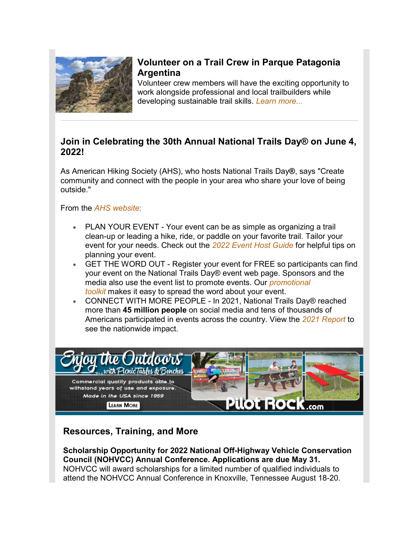

## **Volunteer on a Trail Crew in Parque Patagonia Argentina**

Volunteer crew members will have the exciting opportunity to work alongside professional and local trailbuilders while developing sustainable trail skills. *[Learn more...](https://u25484667.ct.sendgrid.net/ls/click?upn=spMD8OG2H5kz-2FnkHtFQbJwoqCpVUFOC1eysy1JYRAJvqSa3W-2FKOtmGneJ7EsedsMQPQNwV2iU4LwLibLfoDjvX6Ub-2BTZJ1BASFNd3lNEE8-2FCEjqwl3iAZOxmju9gnP3ylGdXRScsRNMBmi22WOoEC20J5KoaQakXv25zM0A1FwU-3D7L41_ABl4bEPcLNiqMgjPKXti6X32k0fPpnwQVHa0keQVbbAcmYog8s8GppA26ECFnPoXFCyt5QoMJs-2F0MsJgS4Pud6eoqpg55fuHQgUG5o0Lie82p9yf9dyYMT398b14-2BAcroo7dV5VBcsiLNO94sBwVKAzaTni77c8cwicrY6zyD5GIqTbmGc-2FbC1yPw4mVvqPhe-2FsFS2MMX-2Bi0cObzbAS9QUK7ftS7ShNMxaX0eukT-2B6Jpvi1a3Tjrmhfj4p5wC7yHFqU48nU96DLz71fkoHYVaEPjAGc7Sv6OzTj1dkDy-2FZ-2FlZkVozxlf3ade5JfwkYd8EcG3gRuPbwFF-2Fame3pYryQtlgK1oiMkc-2FWo8OUeGjdkFJPqTSTSVoWUx7WM2CvLD)*

## **Join in Celebrating the 30th Annual National Trails Day® on June 4, 2022!**

As American Hiking Society (AHS), who hosts National Trails Day**®**, says "Create community and connect with the people in your area who share your love of being outside."

From the *[AHS website](https://u25484667.ct.sendgrid.net/ls/click?upn=spMD8OG2H5kz-2FnkHtFQbJ54i4mHGaXGxda0P95SBKEKyqaCuy3L8g3D09-2BDe-2FsHOi2k8u93nWZtg1t-2FeQim3t0ReUunS6MTmwyLGVQTyom4zVOQ5IWNXsY-2FtSyu9xP27VUy5_ABl4bEPcLNiqMgjPKXti6X32k0fPpnwQVHa0keQVbbAcmYog8s8GppA26ECFnPoXFCyt5QoMJs-2F0MsJgS4Pud6eoqpg55fuHQgUG5o0Lie82p9yf9dyYMT398b14-2BAcroo7dV5VBcsiLNO94sBwVKAzaTni77c8cwicrY6zyD5GIqTbmGc-2FbC1yPw4mVvqPhe-2FsFS2MMX-2Bi0cObzbAS9QUK7ftS7ShNMxaX0eukT-2B6KH1mZuP-2Bze-2BoOiBqUrI-2FNX7TVzUoHa-2FlkFHZE6VVCHDXsfQ12b1SNygF15aOn4-2FhRxM-2BqLKcLnNqDSAaFjAWXM-2FTaQBDkX6News0RYp40xoHhQcTGac-2FdDcscE2rUlzBOy2KT4LjMXKPYs0RB8UsKX)*:

- PLAN YOUR EVENT Your event can be as simple as organizing a trail clean-up or leading a hike, ride, or paddle on your favorite trail. Tailor your event for your needs. Check out the *[2022 Event Host Guide](https://u25484667.ct.sendgrid.net/ls/click?upn=spMD8OG2H5kz-2FnkHtFQbJ54i4mHGaXGxda0P95SBKEKyqaCuy3L8g3D09-2BDe-2FsHOi2k8u93nWZtg1t-2FeQim3t0ReUunS6MTmwyLGVQTyom4zVOQ5IWNXsY-2FtSyu9xP27TNrO_ABl4bEPcLNiqMgjPKXti6X32k0fPpnwQVHa0keQVbbAcmYog8s8GppA26ECFnPoXFCyt5QoMJs-2F0MsJgS4Pud6eoqpg55fuHQgUG5o0Lie82p9yf9dyYMT398b14-2BAcroo7dV5VBcsiLNO94sBwVKAzaTni77c8cwicrY6zyD5GIqTbmGc-2FbC1yPw4mVvqPhe-2FsFS2MMX-2Bi0cObzbAS9QUK7ftS7ShNMxaX0eukT-2B6JtutVPvHWieXDHxHV8WRiOMekGtrGRQY7kMSAG5KC9gc8eJVDxdRri-2BXacHrlnL3vMp65sIM0fw-2F-2B3jA9zv2rKduM00kD2TwqXDhl1dX2344hbbkrw-2B589kn4fRex-2BXjVYRUdfrQXzzHieO-2Bz7A86Y)* for helpful tips on planning your event.
- GET THE WORD OUT Register your event for FREE so participants can find your event on the National Trails Day® event web page. Sponsors and the media also use the event list to promote events. Our *[promotional](https://u25484667.ct.sendgrid.net/ls/click?upn=spMD8OG2H5kz-2FnkHtFQbJ54i4mHGaXGxda0P95SBKEKyqaCuy3L8g3D09-2BDe-2FsHOi2k8u93nWZtg1t-2FeQim3t0ReUunS6MTmwyLGVQTyom7K2R45VLaGhBMqIytn5oAZsoI9_ABl4bEPcLNiqMgjPKXti6X32k0fPpnwQVHa0keQVbbAcmYog8s8GppA26ECFnPoXFCyt5QoMJs-2F0MsJgS4Pud6eoqpg55fuHQgUG5o0Lie82p9yf9dyYMT398b14-2BAcroo7dV5VBcsiLNO94sBwVKAzaTni77c8cwicrY6zyD5GIqTbmGc-2FbC1yPw4mVvqPhe-2FsFS2MMX-2Bi0cObzbAS9QUK7ftS7ShNMxaX0eukT-2B6KlxFMkZEuRZoTYsCodfL31wVCqwJRu0PDwavyHLzAH-2FDuc9IeOmNwvm4-2F4QByp1JmfVZcqRjm-2FDg9HcjTog3Ib2BagQKMJW9vpR2VchiloIw-2FhWyVzONChyuA-2FD-2BaTIDWPYmUINXnua8yFT7Vmy2Yn)  [toolkit](https://u25484667.ct.sendgrid.net/ls/click?upn=spMD8OG2H5kz-2FnkHtFQbJ54i4mHGaXGxda0P95SBKEKyqaCuy3L8g3D09-2BDe-2FsHOi2k8u93nWZtg1t-2FeQim3t0ReUunS6MTmwyLGVQTyom7K2R45VLaGhBMqIytn5oAZsoI9_ABl4bEPcLNiqMgjPKXti6X32k0fPpnwQVHa0keQVbbAcmYog8s8GppA26ECFnPoXFCyt5QoMJs-2F0MsJgS4Pud6eoqpg55fuHQgUG5o0Lie82p9yf9dyYMT398b14-2BAcroo7dV5VBcsiLNO94sBwVKAzaTni77c8cwicrY6zyD5GIqTbmGc-2FbC1yPw4mVvqPhe-2FsFS2MMX-2Bi0cObzbAS9QUK7ftS7ShNMxaX0eukT-2B6KlxFMkZEuRZoTYsCodfL31wVCqwJRu0PDwavyHLzAH-2FDuc9IeOmNwvm4-2F4QByp1JmfVZcqRjm-2FDg9HcjTog3Ib2BagQKMJW9vpR2VchiloIw-2FhWyVzONChyuA-2FD-2BaTIDWPYmUINXnua8yFT7Vmy2Yn)* makes it easy to spread the word about your event.
- CONNECT WITH MORE PEOPLE In 2021, National Trails Day® reached more than **45 million people** on social media and tens of thousands of Americans participated in events across the country. View the *[2021 Report](https://u25484667.ct.sendgrid.net/ls/click?upn=spMD8OG2H5kz-2FnkHtFQbJ54i4mHGaXGxda0P95SBKEJ61EPXmXJlxMPw5NHjf5NQveQfUU38o7P1BysPIQxvndSJUh2YF4MsjkPpXWPXoMNYYgMtAvY2I-2Fo3mAlbYlDa5rnFgXbqvktL9qqJecxk5g-3D-3DClGl_ABl4bEPcLNiqMgjPKXti6X32k0fPpnwQVHa0keQVbbAcmYog8s8GppA26ECFnPoXFCyt5QoMJs-2F0MsJgS4Pud6eoqpg55fuHQgUG5o0Lie82p9yf9dyYMT398b14-2BAcroo7dV5VBcsiLNO94sBwVKAzaTni77c8cwicrY6zyD5GIqTbmGc-2FbC1yPw4mVvqPhe-2FsFS2MMX-2Bi0cObzbAS9QUK7ftS7ShNMxaX0eukT-2B6Ih1k5iLaZExEmD95t2PmtKwVh29npROzZ6GkLWTRfmBR-2FNLIq3sNQn8S-2FPRkX-2BzusUmjVMyDNhm-2BxAZQvUACTv0kLDy4wdahanRMBLewU4gFM6LkpvvTcxwIgJ-2FsUDH2UX5COYquEL1IjI8tVFrsWa)* to see the nationwide impact.



## **Resources, Training, and More**

**Scholarship Opportunity for 2022 National Off-Highway Vehicle Conservation Council (NOHVCC) Annual Conference. Applications are due May 31.** NOHVCC will award scholarships for a limited number of qualified individuals to attend the NOHVCC Annual Conference in Knoxville, Tennessee August 18-20.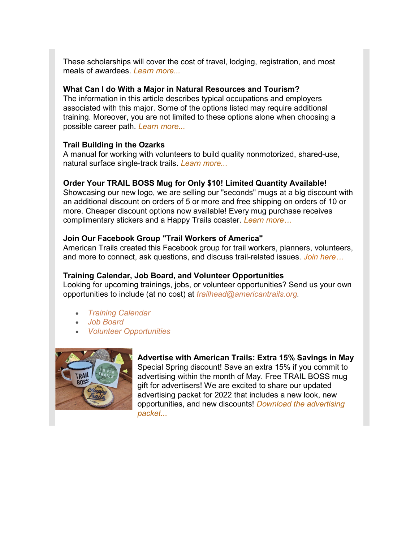These scholarships will cover the cost of travel, lodging, registration, and most meals of awardees. *[Learn more...](https://u25484667.ct.sendgrid.net/ls/click?upn=spMD8OG2H5kz-2FnkHtFQbJ2Nx0-2BxZpRAEL0PSL87vhdQEkw3-2F6Z3ECCOh6at0ITZUgIkf2-2F4cDCpvAvKZNo9bA0ylIxs4kuP9SBJlXVOsADQE-2FmazZMEfaxrWiRtvOFqI8fG80Fudhbxlnrwt-2FHvFKw-3D-3DkN4f_ABl4bEPcLNiqMgjPKXti6X32k0fPpnwQVHa0keQVbbAcmYog8s8GppA26ECFnPoXFCyt5QoMJs-2F0MsJgS4Pud6eoqpg55fuHQgUG5o0Lie82p9yf9dyYMT398b14-2BAcroo7dV5VBcsiLNO94sBwVKAzaTni77c8cwicrY6zyD5GIqTbmGc-2FbC1yPw4mVvqPhe-2FsFS2MMX-2Bi0cObzbAS9QUK7ftS7ShNMxaX0eukT-2B6ILBXR1HH1Ru-2F0VJ0hfFpSp8Vf7lW0R0rjMnOd8tMUph8SJPd0o5Kpdz0VGj4PLbIYAlmg2l99Yao1G5HzI1Z5WG3vnDXsJVFQsOnuBakZFsj16Nyw-2FZF99IabZbWcVKnY01ubpLaVJrqYbCHWtCLQT)*

#### **What Can I do With a Major in Natural Resources and Tourism?**

[The information in this article describes typical occupations and employers](https://u25484667.ct.sendgrid.net/ls/click?upn=spMD8OG2H5kz-2FnkHtFQbJwoqCpVUFOC1eysy1JYRAJvNqUh-2BH9Y-2F1NPk9ZoEP3LNpanuzHjTM67ob3BYHMC4wV-2FLfoEEyFh122Ir5uPj-2BZpaTTO-2B61hDNdkDdB3QVqQ-2FGogICq5XPEA4C83s5-2FZAMw-3D-3DRJO3_ABl4bEPcLNiqMgjPKXti6X32k0fPpnwQVHa0keQVbbAcmYog8s8GppA26ECFnPoXFCyt5QoMJs-2F0MsJgS4Pud6eoqpg55fuHQgUG5o0Lie82p9yf9dyYMT398b14-2BAcroo7dV5VBcsiLNO94sBwVKAzaTni77c8cwicrY6zyD5GIqTbmGc-2FbC1yPw4mVvqPhe-2FsFS2MMX-2Bi0cObzbAS9QUK7ftS7ShNMxaX0eukT-2B6JPoBg-2FQckZFbpEjel5P0PsGWDdPTkLY-2Fk5Z0YcXVhzDABa89mjSv0ZhOQX5GZDvripz1fw1WkUQoPR-2FQoytCwzUfKmEQzKLfU7QRH1qU-2FXtttYaWCnGPcCQ0skAhFXoUBiEPEauagcf7rZ6TCQQz-2Bg)  [associated with this major. Some of the options listed may require additional](https://u25484667.ct.sendgrid.net/ls/click?upn=spMD8OG2H5kz-2FnkHtFQbJwoqCpVUFOC1eysy1JYRAJvNqUh-2BH9Y-2F1NPk9ZoEP3LNpanuzHjTM67ob3BYHMC4wV-2FLfoEEyFh122Ir5uPj-2BZpaTTO-2B61hDNdkDdB3QVqQ-2FGogICq5XPEA4C83s5-2FZAMw-3D-3DRJO3_ABl4bEPcLNiqMgjPKXti6X32k0fPpnwQVHa0keQVbbAcmYog8s8GppA26ECFnPoXFCyt5QoMJs-2F0MsJgS4Pud6eoqpg55fuHQgUG5o0Lie82p9yf9dyYMT398b14-2BAcroo7dV5VBcsiLNO94sBwVKAzaTni77c8cwicrY6zyD5GIqTbmGc-2FbC1yPw4mVvqPhe-2FsFS2MMX-2Bi0cObzbAS9QUK7ftS7ShNMxaX0eukT-2B6JPoBg-2FQckZFbpEjel5P0PsGWDdPTkLY-2Fk5Z0YcXVhzDABa89mjSv0ZhOQX5GZDvripz1fw1WkUQoPR-2FQoytCwzUfKmEQzKLfU7QRH1qU-2FXtttYaWCnGPcCQ0skAhFXoUBiEPEauagcf7rZ6TCQQz-2Bg)  [training. Moreover, you are not limited to these options alone when choosing a](https://u25484667.ct.sendgrid.net/ls/click?upn=spMD8OG2H5kz-2FnkHtFQbJwoqCpVUFOC1eysy1JYRAJvNqUh-2BH9Y-2F1NPk9ZoEP3LNpanuzHjTM67ob3BYHMC4wV-2FLfoEEyFh122Ir5uPj-2BZpaTTO-2B61hDNdkDdB3QVqQ-2FGogICq5XPEA4C83s5-2FZAMw-3D-3DRJO3_ABl4bEPcLNiqMgjPKXti6X32k0fPpnwQVHa0keQVbbAcmYog8s8GppA26ECFnPoXFCyt5QoMJs-2F0MsJgS4Pud6eoqpg55fuHQgUG5o0Lie82p9yf9dyYMT398b14-2BAcroo7dV5VBcsiLNO94sBwVKAzaTni77c8cwicrY6zyD5GIqTbmGc-2FbC1yPw4mVvqPhe-2FsFS2MMX-2Bi0cObzbAS9QUK7ftS7ShNMxaX0eukT-2B6JPoBg-2FQckZFbpEjel5P0PsGWDdPTkLY-2Fk5Z0YcXVhzDABa89mjSv0ZhOQX5GZDvripz1fw1WkUQoPR-2FQoytCwzUfKmEQzKLfU7QRH1qU-2FXtttYaWCnGPcCQ0skAhFXoUBiEPEauagcf7rZ6TCQQz-2Bg)  [possible career path.](https://u25484667.ct.sendgrid.net/ls/click?upn=spMD8OG2H5kz-2FnkHtFQbJwoqCpVUFOC1eysy1JYRAJvNqUh-2BH9Y-2F1NPk9ZoEP3LNpanuzHjTM67ob3BYHMC4wV-2FLfoEEyFh122Ir5uPj-2BZpaTTO-2B61hDNdkDdB3QVqQ-2FGogICq5XPEA4C83s5-2FZAMw-3D-3DRJO3_ABl4bEPcLNiqMgjPKXti6X32k0fPpnwQVHa0keQVbbAcmYog8s8GppA26ECFnPoXFCyt5QoMJs-2F0MsJgS4Pud6eoqpg55fuHQgUG5o0Lie82p9yf9dyYMT398b14-2BAcroo7dV5VBcsiLNO94sBwVKAzaTni77c8cwicrY6zyD5GIqTbmGc-2FbC1yPw4mVvqPhe-2FsFS2MMX-2Bi0cObzbAS9QUK7ftS7ShNMxaX0eukT-2B6JPoBg-2FQckZFbpEjel5P0PsGWDdPTkLY-2Fk5Z0YcXVhzDABa89mjSv0ZhOQX5GZDvripz1fw1WkUQoPR-2FQoytCwzUfKmEQzKLfU7QRH1qU-2FXtttYaWCnGPcCQ0skAhFXoUBiEPEauagcf7rZ6TCQQz-2Bg) *[Learn more...](https://u25484667.ct.sendgrid.net/ls/click?upn=spMD8OG2H5kz-2FnkHtFQbJwoqCpVUFOC1eysy1JYRAJvNqUh-2BH9Y-2F1NPk9ZoEP3LN0WoQRbJPcLefCD189SIjVBq-2B9bXnc2owDWEGm1eeogfOVmD4L3XpUYocV0nAyRMtgzgUfkiULRlk4lY9MBItwanQ7bJrEs7DcMbi1yLxmXo-3DKDmy_ABl4bEPcLNiqMgjPKXti6X32k0fPpnwQVHa0keQVbbAcmYog8s8GppA26ECFnPoXFCyt5QoMJs-2F0MsJgS4Pud6eoqpg55fuHQgUG5o0Lie82p9yf9dyYMT398b14-2BAcroo7dV5VBcsiLNO94sBwVKAzaTni77c8cwicrY6zyD5GIqTbmGc-2FbC1yPw4mVvqPhe-2FsFS2MMX-2Bi0cObzbAS9QUK7ftS7ShNMxaX0eukT-2B6J5LN9ZYIslMS0TE-2BFJ1ucNuucnnvCMezZRYmtDmB94lADKhVng5iqcApfT7UiERyYij9cGexdazsjax09-2F2yJ9JFba3J9CWpRYTPLcsis7b-2F-2FmUodPUCT6zKBQZdONknFV5Q1NAaF73wsqasp6bftN)*

#### **Trail Building in the Ozarks**

A manual for working with volunteers to build quality nonmotorized, shared-use, natural surface single-track trails. *[Learn more...](https://u25484667.ct.sendgrid.net/ls/click?upn=spMD8OG2H5kz-2FnkHtFQbJwoqCpVUFOC1eysy1JYRAJvNqUh-2BH9Y-2F1NPk9ZoEP3LN4j1qvbR3Kjm2uTl6xLwpDl6DYKqvwhz-2BUgedGrWgUgVGLBOu3r6WFlQ9G8mDcz2n05LC_ABl4bEPcLNiqMgjPKXti6X32k0fPpnwQVHa0keQVbbAcmYog8s8GppA26ECFnPoXFCyt5QoMJs-2F0MsJgS4Pud6eoqpg55fuHQgUG5o0Lie82p9yf9dyYMT398b14-2BAcroo7dV5VBcsiLNO94sBwVKAzaTni77c8cwicrY6zyD5GIqTbmGc-2FbC1yPw4mVvqPhe-2FsFS2MMX-2Bi0cObzbAS9QUK7ftS7ShNMxaX0eukT-2B6JXi0ktCiq7R1vccBEcSLmwy2-2BA31mXqm9NdqskAPx9CJj-2FunIUvTkSRNtAtBdFL7QHuT3jIv6CtIrvoHUIUPSe1sOInEYahaqvRD2qUZZQQJCLQdA3K-2BIKqurgtj5lqw7zibdR2Fam00K8Q4syHqxG)*

#### **Order Your TRAIL BOSS Mug for Only \$10! Limited Quantity Available!**

Showcasing our new logo, we are selling our "seconds" mugs at a big discount with an additional discount on orders of 5 or more and free shipping on orders of 10 or more. Cheaper discount options now available! Every mug purchase receives complimentary stickers and a Happy Trails coaster. *[Learn more…](https://u25484667.ct.sendgrid.net/ls/click?upn=spMD8OG2H5kz-2FnkHtFQbJwoqCpVUFOC1eysy1JYRAJvI09yGeIjpGCSgsCY5kmdnsc3xySjTecsBzSfeno2VO-2F-2B9oy6Co-2BLScFBytJuuJJ5UlPvujmzyHPQMTGAOGvFr4NspwwGTw-2FjW8sl93h-2B63h2jr1tYCukGSaNxds0kNFk-3DQocd_ABl4bEPcLNiqMgjPKXti6X32k0fPpnwQVHa0keQVbbAcmYog8s8GppA26ECFnPoXFCyt5QoMJs-2F0MsJgS4Pud6eoqpg55fuHQgUG5o0Lie82p9yf9dyYMT398b14-2BAcroo7dV5VBcsiLNO94sBwVKAzaTni77c8cwicrY6zyD5GIqTbmGc-2FbC1yPw4mVvqPhe-2FsFS2MMX-2Bi0cObzbAS9QUK7ftS7ShNMxaX0eukT-2B6Lq6zIlIBH5GKN08Q7evDInuorDljMoMPhUfdoyW56dLHrhlvE5L3MGDHz1TkdHELqjOLCZYmpPpRypZoBDn6KWtgzY9x0sXK8EBMXMWVGzEl47DQY3uYuczaR386djqgKGLJCCdCN8r7hw5hRaaEdl)*

#### **Join Our Facebook Group "Trail Workers of America"**

American Trails created this Facebook group for trail workers, planners, volunteers, and more to connect, ask questions, and discuss trail-related issues. *[Join here…](https://u25484667.ct.sendgrid.net/ls/click?upn=spMD8OG2H5kz-2FnkHtFQbJ3TpBQFCVzDkBcY8oGAu-2BuQ1EdBm7X1blikpzRinlHzZYiY7mJSs3TZ2gBEqrIhgu8nA-2BR6CHu6i2oagwjigJLc-3DY1Ky_ABl4bEPcLNiqMgjPKXti6X32k0fPpnwQVHa0keQVbbAcmYog8s8GppA26ECFnPoXFCyt5QoMJs-2F0MsJgS4Pud6eoqpg55fuHQgUG5o0Lie82p9yf9dyYMT398b14-2BAcroo7dV5VBcsiLNO94sBwVKAzaTni77c8cwicrY6zyD5GIqTbmGc-2FbC1yPw4mVvqPhe-2FsFS2MMX-2Bi0cObzbAS9QUK7ftS7ShNMxaX0eukT-2B6LtjL3ARyp24G1Sc6PdstEQLuQ1k7Trte4YtXJMas73aOWAy0-2BT-2BdoY-2BriFRqGy-2Fd0NxlyLLJqZG2RnTpeXN4fTm1xkR4d1FYNS77TqAjs71j6Y4gjeaMCTJZJxSFDYBqFwYNu588h1FTX6X1orLEap)*

#### **Training Calendar, Job Board, and Volunteer Opportunities**

Looking for upcoming trainings, jobs, or volunteer opportunities? Send us your own opportunities to include (at no cost) at *[trailhead@americantrails.org.](mailto:trailhead@americantrails.org)*

- *[Training Calendar](https://u25484667.ct.sendgrid.net/ls/click?upn=spMD8OG2H5kz-2FnkHtFQbJwoqCpVUFOC1eysy1JYRAJuJ24k5Fvki-2FprJs4nBH0WdBNGycPR-2FRoEnsr-2BP3jShAFVtqc7wvVf9EGJhc0aiIAU-3DmAag_ABl4bEPcLNiqMgjPKXti6X32k0fPpnwQVHa0keQVbbAcmYog8s8GppA26ECFnPoXFCyt5QoMJs-2F0MsJgS4Pud6eoqpg55fuHQgUG5o0Lie82p9yf9dyYMT398b14-2BAcroo7dV5VBcsiLNO94sBwVKAzaTni77c8cwicrY6zyD5GIqTbmGc-2FbC1yPw4mVvqPhe-2FsFS2MMX-2Bi0cObzbAS9QUK7ftS7ShNMxaX0eukT-2B6K03gjAUOy-2Fye6s-2Fg5Ldkah-2Fx26E5L4HiRhtXkDI3vHBpCmr-2Fp1-2FdZnSBAEdH6aic6AUyyZOBjzIKsdUMv0EOVH8-2B23G8vjyjquu-2BAfVLUjMRmxudA3sg4-2Fj46uNhI-2B4SRpDu9l0V9ueD5opceGMpZ5)*
- *[Job Board](https://u25484667.ct.sendgrid.net/ls/click?upn=spMD8OG2H5kz-2FnkHtFQbJwoqCpVUFOC1eysy1JYRAJvqSa3W-2FKOtmGneJ7EsedsMMm5-2FLrTtpO1dfH076KX-2Fl5rDulPb1310L0-2FkZZ5b-2FRI-3Dq5ok_ABl4bEPcLNiqMgjPKXti6X32k0fPpnwQVHa0keQVbbAcmYog8s8GppA26ECFnPoXFCyt5QoMJs-2F0MsJgS4Pud6eoqpg55fuHQgUG5o0Lie82p9yf9dyYMT398b14-2BAcroo7dV5VBcsiLNO94sBwVKAzaTni77c8cwicrY6zyD5GIqTbmGc-2FbC1yPw4mVvqPhe-2FsFS2MMX-2Bi0cObzbAS9QUK7ftS7ShNMxaX0eukT-2B6IO98t3Ceiln8UP4lXvkUNsWbUVjmOMYNiAZNwyxhKj-2FKFD5u9D9c7E70mBFbETwUbaJZ2x8CUbQHGU-2B2RzewTb-2Fkn9S1XAMlqn7HJu5GdINsBg6SX6NCfZ2FI8Xt2OspMDXUy0VIoaDLDHajzyo4zw)*
- *[Volunteer Opportunities](https://u25484667.ct.sendgrid.net/ls/click?upn=spMD8OG2H5kz-2FnkHtFQbJwoqCpVUFOC1eysy1JYRAJv5iuZbX2uuKCIYzNu5Wd6Gsrzq0PAfus-2FMz2SxVVpggk7fqSNX6veOdwyJ7zRW3l4-3Daq_8_ABl4bEPcLNiqMgjPKXti6X32k0fPpnwQVHa0keQVbbAcmYog8s8GppA26ECFnPoXFCyt5QoMJs-2F0MsJgS4Pud6eoqpg55fuHQgUG5o0Lie82p9yf9dyYMT398b14-2BAcroo7dV5VBcsiLNO94sBwVKAzaTni77c8cwicrY6zyD5GIqTbmGc-2FbC1yPw4mVvqPhe-2FsFS2MMX-2Bi0cObzbAS9QUK7ftS7ShNMxaX0eukT-2B6KG8LuCkx8oVSNttELSU3mVl6xQkn4kYjCymOTr8Bhfbg526RqjrO-2Bf0gJKTAMAC6lKOfrw92MNWa4G6GrBMQ2jd-2Bae9pAZrwm8F-2BeEtdIN1fnD9AonlGhNM5k1uo8yKwFaMmtSqyqKjAdIhFVgRRCF)*



### **Advertise with American Trails: Extra 15% Savings in May**

Special Spring discount! Save an extra 15% if you commit to advertising within the month of May. Free TRAIL BOSS mug gift for advertisers! We are excited to share our updated advertising packet for 2022 that includes a new look, new opportunities, and new discounts! *[Download the advertising](https://u25484667.ct.sendgrid.net/ls/click?upn=spMD8OG2H5kz-2FnkHtFQbJyVzcSVoKv3jpfXaJv4fdLIuoHRNDWSHP-2FcULgAQaZP8aBNZLMkcUubjKHF1uH1mIefLjPQkqOJJ9uftyyWlWcU1vhXqJr76qAcrzx8cKpX7mDW8-2FvtzmHxVsvl1f4ycA7K6KbaeA3-2FkOrjTnC6yqDKuBPmR0o6EqIsdn2J1DiXNFqED_ABl4bEPcLNiqMgjPKXti6X32k0fPpnwQVHa0keQVbbAcmYog8s8GppA26ECFnPoXFCyt5QoMJs-2F0MsJgS4Pud6eoqpg55fuHQgUG5o0Lie82p9yf9dyYMT398b14-2BAcroo7dV5VBcsiLNO94sBwVKAzaTni77c8cwicrY6zyD5GIqTbmGc-2FbC1yPw4mVvqPhe-2FsFS2MMX-2Bi0cObzbAS9QUK7ftS7ShNMxaX0eukT-2B6IILQwmoSO8fWoz8KA-2BklaD44-2F8hm9cVCRI4wQRacRJJcsDv-2BN51nTcTz0PwkmYy5ILRQWrEmPtfhX4HYOemoJ22yTWVbrobe7Gmqn23pyrJGDL-2F-2F-2Fe5pLtj3jS9iwK2jV71Cjg75Djo9JmkGnXryWy)  [packet...](https://u25484667.ct.sendgrid.net/ls/click?upn=spMD8OG2H5kz-2FnkHtFQbJyVzcSVoKv3jpfXaJv4fdLIuoHRNDWSHP-2FcULgAQaZP8aBNZLMkcUubjKHF1uH1mIefLjPQkqOJJ9uftyyWlWcU1vhXqJr76qAcrzx8cKpX7mDW8-2FvtzmHxVsvl1f4ycA7K6KbaeA3-2FkOrjTnC6yqDKuBPmR0o6EqIsdn2J1DiXNFqED_ABl4bEPcLNiqMgjPKXti6X32k0fPpnwQVHa0keQVbbAcmYog8s8GppA26ECFnPoXFCyt5QoMJs-2F0MsJgS4Pud6eoqpg55fuHQgUG5o0Lie82p9yf9dyYMT398b14-2BAcroo7dV5VBcsiLNO94sBwVKAzaTni77c8cwicrY6zyD5GIqTbmGc-2FbC1yPw4mVvqPhe-2FsFS2MMX-2Bi0cObzbAS9QUK7ftS7ShNMxaX0eukT-2B6IILQwmoSO8fWoz8KA-2BklaD44-2F8hm9cVCRI4wQRacRJJcsDv-2BN51nTcTz0PwkmYy5ILRQWrEmPtfhX4HYOemoJ22yTWVbrobe7Gmqn23pyrJGDL-2F-2F-2Fe5pLtj3jS9iwK2jV71Cjg75Djo9JmkGnXryWy)*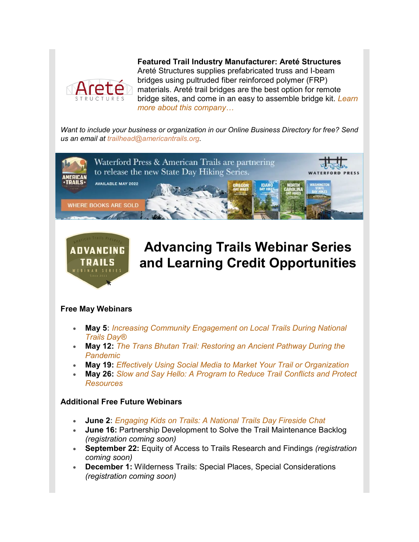

**Featured Trail Industry Manufacturer: Areté Structures** Areté Structures supplies prefabricated truss and I-beam bridges using pultruded fiber reinforced polymer (FRP) materials. Areté trail bridges are the best option for remote bridge sites, and come in an easy to assemble bridge kit. *[Learn](https://u25484667.ct.sendgrid.net/ls/click?upn=spMD8OG2H5kz-2FnkHtFQbJwoqCpVUFOC1eysy1JYRAJuliH5jZryylvJ9xXHzEmSkeyLJ3IeSJbwEbt4xwST0jK4ou11K6i1YuSS7OSsGCKYGwHzegWFSHnnztfTuPEoYebwP_ABl4bEPcLNiqMgjPKXti6X32k0fPpnwQVHa0keQVbbAcmYog8s8GppA26ECFnPoXFCyt5QoMJs-2F0MsJgS4Pud6eoqpg55fuHQgUG5o0Lie82p9yf9dyYMT398b14-2BAcroo7dV5VBcsiLNO94sBwVKAzaTni77c8cwicrY6zyD5GIqTbmGc-2FbC1yPw4mVvqPhe-2FsFS2MMX-2Bi0cObzbAS9QUK7ftS7ShNMxaX0eukT-2B6KH92FVAD93Umx-2BVudmLo5JFfFcz1-2B9z7MfO74eDBnktrrxesKeNqKT-2F6rn7o2IORaah16IJP7vo699M1W8A-2BnK2kYkATQz16eOTOAIwmVS92wUrLOhDKWwuiC39TPTSrdHUeuOOyROUiQNZabESOWp)  [more about this company…](https://u25484667.ct.sendgrid.net/ls/click?upn=spMD8OG2H5kz-2FnkHtFQbJwoqCpVUFOC1eysy1JYRAJuliH5jZryylvJ9xXHzEmSkeyLJ3IeSJbwEbt4xwST0jK4ou11K6i1YuSS7OSsGCKYGwHzegWFSHnnztfTuPEoYebwP_ABl4bEPcLNiqMgjPKXti6X32k0fPpnwQVHa0keQVbbAcmYog8s8GppA26ECFnPoXFCyt5QoMJs-2F0MsJgS4Pud6eoqpg55fuHQgUG5o0Lie82p9yf9dyYMT398b14-2BAcroo7dV5VBcsiLNO94sBwVKAzaTni77c8cwicrY6zyD5GIqTbmGc-2FbC1yPw4mVvqPhe-2FsFS2MMX-2Bi0cObzbAS9QUK7ftS7ShNMxaX0eukT-2B6KH92FVAD93Umx-2BVudmLo5JFfFcz1-2B9z7MfO74eDBnktrrxesKeNqKT-2F6rn7o2IORaah16IJP7vo699M1W8A-2BnK2kYkATQz16eOTOAIwmVS92wUrLOhDKWwuiC39TPTSrdHUeuOOyROUiQNZabESOWp)*

*Want to include your business or organization in our [Online Business Directory](https://u25484667.ct.sendgrid.net/ls/click?upn=spMD8OG2H5kz-2FnkHtFQbJwoqCpVUFOC1eysy1JYRAJukQN4hx3ENpR47IKr-2BesXGu3DN86aIAJKtP3deLmrzIvHjJDKdh6MM2xmR3MTN4oM-3DLHPf_ABl4bEPcLNiqMgjPKXti6X32k0fPpnwQVHa0keQVbbAcmYog8s8GppA26ECFnPoXFCyt5QoMJs-2F0MsJgS4Pud6eoqpg55fuHQgUG5o0Lie82p9yf9dyYMT398b14-2BAcroo7dV5VBcsiLNO94sBwVKAzaTni77c8cwicrY6zyD5GIqTbmGc-2FbC1yPw4mVvqPhe-2FsFS2MMX-2Bi0cObzbAS9QUK7ftS7ShNMxaX0eukT-2B6LtUn5dp82sXKtOEyLJEguhLDEFrFsYQOWJkla0IcUYkHlNTNKeBQQvtVSZQjIsneSIZJdyKXi-2BUmOUo-2FEx7IdTljy7-2FMH8n3ycunrRN1rH93JRVQDOFd9RU9BQCNbbD9FMk3pyuNSD7O95954BAp2-2B) for free? Send us an email at [trailhead@americantrails.org.](mailto:trailhead@americantrails.org)*





# **Advancing Trails Webinar Series and Learning Credit Opportunities**

### **Free May Webinars**

- **May 5:** *Increasing [Community Engagement on Local Trails During National](https://u25484667.ct.sendgrid.net/ls/click?upn=spMD8OG2H5kz-2FnkHtFQbJwoqCpVUFOC1eysy1JYRAJuJ24k5Fvki-2FprJs4nBH0WdpHdxJtDJUh-2BQtu4W9F7E3T-2FwkHhhDPX8TZA-2FtbeXakZyWISTr4aserywUES4eYDQTMjVxppOQgP8LvA2PlLIenNe-2B-2F1nZiuHpXNgyOqXgKd3ER4hPSRhza1xiqr7a0Z9IpqX_ABl4bEPcLNiqMgjPKXti6X32k0fPpnwQVHa0keQVbbAcmYog8s8GppA26ECFnPoXFCyt5QoMJs-2F0MsJgS4Pud6eoqpg55fuHQgUG5o0Lie82p9yf9dyYMT398b14-2BAcroo7dV5VBcsiLNO94sBwVKAzaTni77c8cwicrY6zyD5GIqTbmGc-2FbC1yPw4mVvqPhe-2FsFS2MMX-2Bi0cObzbAS9QUK7ftS7ShNMxaX0eukT-2B6L-2ByBN4qy-2B8Stbx9uxst1FWEHEWOsoG8ZmUpvZ7U9dqjrifQtASqbwnnAwp0qjZwHcOA9Jo9pEtugiZYJh8d-2BSbswVxDSPp2C6v1zIOokeluKZu4DCiUMQRGLsfcas1oa2O4zGe1p6mfQTTc69DXRSl)  [Trails Day®](https://u25484667.ct.sendgrid.net/ls/click?upn=spMD8OG2H5kz-2FnkHtFQbJwoqCpVUFOC1eysy1JYRAJuJ24k5Fvki-2FprJs4nBH0WdpHdxJtDJUh-2BQtu4W9F7E3T-2FwkHhhDPX8TZA-2FtbeXakZyWISTr4aserywUES4eYDQTMjVxppOQgP8LvA2PlLIenNe-2B-2F1nZiuHpXNgyOqXgKd3ER4hPSRhza1xiqr7a0Z9IpqX_ABl4bEPcLNiqMgjPKXti6X32k0fPpnwQVHa0keQVbbAcmYog8s8GppA26ECFnPoXFCyt5QoMJs-2F0MsJgS4Pud6eoqpg55fuHQgUG5o0Lie82p9yf9dyYMT398b14-2BAcroo7dV5VBcsiLNO94sBwVKAzaTni77c8cwicrY6zyD5GIqTbmGc-2FbC1yPw4mVvqPhe-2FsFS2MMX-2Bi0cObzbAS9QUK7ftS7ShNMxaX0eukT-2B6L-2ByBN4qy-2B8Stbx9uxst1FWEHEWOsoG8ZmUpvZ7U9dqjrifQtASqbwnnAwp0qjZwHcOA9Jo9pEtugiZYJh8d-2BSbswVxDSPp2C6v1zIOokeluKZu4DCiUMQRGLsfcas1oa2O4zGe1p6mfQTTc69DXRSl)*
- **May 12:** *[The Trans Bhutan Trail: Restoring an Ancient Pathway During the](https://u25484667.ct.sendgrid.net/ls/click?upn=spMD8OG2H5kz-2FnkHtFQbJwoqCpVUFOC1eysy1JYRAJuJ24k5Fvki-2FprJs4nBH0Wd4947WSZMhZ0sySDPMDF3enO0V8OTeUpU3MAwIAjwW1poC0ZRIkmGLaPS8Xr-2BAOoBEHWR_ABl4bEPcLNiqMgjPKXti6X32k0fPpnwQVHa0keQVbbAcmYog8s8GppA26ECFnPoXFCyt5QoMJs-2F0MsJgS4Pud6eoqpg55fuHQgUG5o0Lie82p9yf9dyYMT398b14-2BAcroo7dV5VBcsiLNO94sBwVKAzaTni77c8cwicrY6zyD5GIqTbmGc-2FbC1yPw4mVvqPhe-2FsFS2MMX-2Bi0cObzbAS9QUK7ftS7ShNMxaX0eukT-2B6JlAshFuF8ZtNcXmAXKNqBEAez-2FqS4gBhIo6f7Ikj-2FRpwbFI8cU8KL6UBC8aIzRv1eWgpx4XtmsnJ-2FL-2BWSOUZ3EqTOL-2BlsSV1DYFLlCmzRdX8HZjdQX16qSu0s-2F5QzdRBxl8UOvbgt4EFXAxaKMaMa6)  [Pandemic](https://u25484667.ct.sendgrid.net/ls/click?upn=spMD8OG2H5kz-2FnkHtFQbJwoqCpVUFOC1eysy1JYRAJuJ24k5Fvki-2FprJs4nBH0Wd4947WSZMhZ0sySDPMDF3enO0V8OTeUpU3MAwIAjwW1poC0ZRIkmGLaPS8Xr-2BAOoBEHWR_ABl4bEPcLNiqMgjPKXti6X32k0fPpnwQVHa0keQVbbAcmYog8s8GppA26ECFnPoXFCyt5QoMJs-2F0MsJgS4Pud6eoqpg55fuHQgUG5o0Lie82p9yf9dyYMT398b14-2BAcroo7dV5VBcsiLNO94sBwVKAzaTni77c8cwicrY6zyD5GIqTbmGc-2FbC1yPw4mVvqPhe-2FsFS2MMX-2Bi0cObzbAS9QUK7ftS7ShNMxaX0eukT-2B6JlAshFuF8ZtNcXmAXKNqBEAez-2FqS4gBhIo6f7Ikj-2FRpwbFI8cU8KL6UBC8aIzRv1eWgpx4XtmsnJ-2FL-2BWSOUZ3EqTOL-2BlsSV1DYFLlCmzRdX8HZjdQX16qSu0s-2F5QzdRBxl8UOvbgt4EFXAxaKMaMa6)*
- **May 19:** *[Effectively Using Social Media to Market Your Trail or Organization](https://u25484667.ct.sendgrid.net/ls/click?upn=spMD8OG2H5kz-2FnkHtFQbJwoqCpVUFOC1eysy1JYRAJuJ24k5Fvki-2FprJs4nBH0WdWpxHkUBmxgvSdXfcOihnLchkH3QIJbufVxb-2FIy8f2IdBbM-2FHBFV7XUeOSDE-2F9IUdeftp55vxDBImt-2Fot3tfjPQT5wg2qqrKg52NZn3xa9Tt0NVKeUl3wfro5-2FZTwGcHA7CBH_ABl4bEPcLNiqMgjPKXti6X32k0fPpnwQVHa0keQVbbAcmYog8s8GppA26ECFnPoXFCyt5QoMJs-2F0MsJgS4Pud6eoqpg55fuHQgUG5o0Lie82p9yf9dyYMT398b14-2BAcroo7dV5VBcsiLNO94sBwVKAzaTni77c8cwicrY6zyD5GIqTbmGc-2FbC1yPw4mVvqPhe-2FsFS2MMX-2Bi0cObzbAS9QUK7ftS7ShNMxaX0eukT-2B6KxfV-2FhpZvoSV3yaqZwblyO0a6VCe5oD5Jsvv9BdwMggX-2FOy8S-2B2lPfp1Cl5mTCvjC9ky4nCaxKDmhzT7EuEQHPlCwaBDPJsdqcBGF-2Fi2Tfry42l02yhGvuhafYettXEtnZgTD6S8Zyd-2BZmn0BDEB2k)*
- **May 26:** *[Slow and Say Hello: A Program to Reduce Trail Conflicts and Protect](https://u25484667.ct.sendgrid.net/ls/click?upn=spMD8OG2H5kz-2FnkHtFQbJwoqCpVUFOC1eysy1JYRAJuJ24k5Fvki-2FprJs4nBH0WdlV3VYIIC6p2uk-2FeO191a0OIa5jkU17xmkMcbVULdMRBQZJ8LsO1R65C98GVozq7QWVrh_ABl4bEPcLNiqMgjPKXti6X32k0fPpnwQVHa0keQVbbAcmYog8s8GppA26ECFnPoXFCyt5QoMJs-2F0MsJgS4Pud6eoqpg55fuHQgUG5o0Lie82p9yf9dyYMT398b14-2BAcroo7dV5VBcsiLNO94sBwVKAzaTni77c8cwicrY6zyD5GIqTbmGc-2FbC1yPw4mVvqPhe-2FsFS2MMX-2Bi0cObzbAS9QUK7ftS7ShNMxaX0eukT-2B6LzLyPwsb7jU5d2Onf4DhhOGtYsoWdP1dxkOYwRdswkUIdFgyjBpx9bfnNYYfuBJWhOGvYX-2BVl62ZyJ2jAF6ilmT2VSXw4HLIkHgTQaFXlRNp1BRdZeOdSVnagvhye9L0Hh17w-2B7PQbZIJbJ7MnSEJv)  [Resources](https://u25484667.ct.sendgrid.net/ls/click?upn=spMD8OG2H5kz-2FnkHtFQbJwoqCpVUFOC1eysy1JYRAJuJ24k5Fvki-2FprJs4nBH0WdlV3VYIIC6p2uk-2FeO191a0OIa5jkU17xmkMcbVULdMRBQZJ8LsO1R65C98GVozq7QWVrh_ABl4bEPcLNiqMgjPKXti6X32k0fPpnwQVHa0keQVbbAcmYog8s8GppA26ECFnPoXFCyt5QoMJs-2F0MsJgS4Pud6eoqpg55fuHQgUG5o0Lie82p9yf9dyYMT398b14-2BAcroo7dV5VBcsiLNO94sBwVKAzaTni77c8cwicrY6zyD5GIqTbmGc-2FbC1yPw4mVvqPhe-2FsFS2MMX-2Bi0cObzbAS9QUK7ftS7ShNMxaX0eukT-2B6LzLyPwsb7jU5d2Onf4DhhOGtYsoWdP1dxkOYwRdswkUIdFgyjBpx9bfnNYYfuBJWhOGvYX-2BVl62ZyJ2jAF6ilmT2VSXw4HLIkHgTQaFXlRNp1BRdZeOdSVnagvhye9L0Hh17w-2B7PQbZIJbJ7MnSEJv)*

#### **Additional Free Future Webinars**

- **June 2:** *[Engaging Kids on Trails: A National Trails Day Fireside Chat](https://u25484667.ct.sendgrid.net/ls/click?upn=spMD8OG2H5kz-2FnkHtFQbJwoqCpVUFOC1eysy1JYRAJuJ24k5Fvki-2FprJs4nBH0WdLG862zdgIZ-2BCenWh-2F9zRD4TZrbWCuD7ttHGDNHx9g1eXL4uxszNjVi7qdwabg7uRKw1T_ABl4bEPcLNiqMgjPKXti6X32k0fPpnwQVHa0keQVbbAcmYog8s8GppA26ECFnPoXFCyt5QoMJs-2F0MsJgS4Pud6eoqpg55fuHQgUG5o0Lie82p9yf9dyYMT398b14-2BAcroo7dV5VBcsiLNO94sBwVKAzaTni77c8cwicrY6zyD5GIqTbmGc-2FbC1yPw4mVvqPhe-2FsFS2MMX-2Bi0cObzbAS9QUK7ftS7ShNMxaX0eukT-2B6IHlxJCu4qDZ-2BMa6mxzTBzGQC44WeznyiCwBo00oo9vOots-2Fc-2FCgusSnB2HOFnbgMHVqXXogrI8Wlxfbaj8btfeN4b8majv5KE5059D6Gn6gMQaj9tQTwprTzfJGv8H-2FWyig2bHW4S3zRiEG9RZtm-2BA)*
- **June 16:** Partnership Development to Solve the Trail Maintenance Backlog *(registration coming soon)*
- **September 22:** Equity of Access to Trails Research and Findings *(registration coming soon)*
- **December 1:** Wilderness Trails: Special Places, Special Considerations *(registration coming soon)*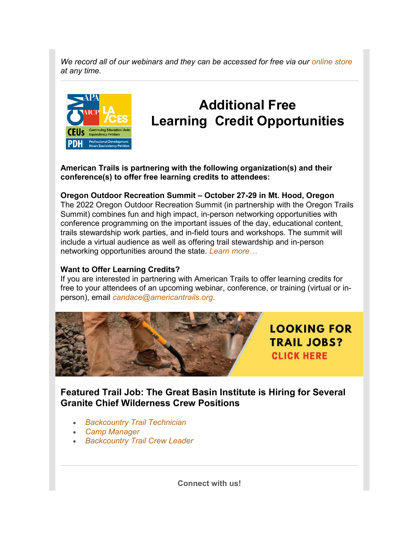*We record all of our webinars and they can be accessed for free via our [online store](https://u25484667.ct.sendgrid.net/ls/click?upn=spMD8OG2H5kz-2FnkHtFQbJwoqCpVUFOC1eysy1JYRAJvI09yGeIjpGCSgsCY5kmdnmBVuKD5uuDybEvJr588H-2BNDBHeRszmEgU9NZMJ6WCfFGsK7gUqw3yKLvh3CRWJYNLib0_ABl4bEPcLNiqMgjPKXti6X32k0fPpnwQVHa0keQVbbAcmYog8s8GppA26ECFnPoXFCyt5QoMJs-2F0MsJgS4Pud6eoqpg55fuHQgUG5o0Lie82p9yf9dyYMT398b14-2BAcroo7dV5VBcsiLNO94sBwVKAzaTni77c8cwicrY6zyD5GIqTbmGc-2FbC1yPw4mVvqPhe-2FsFS2MMX-2Bi0cObzbAS9QUK7ftS7ShNMxaX0eukT-2B6IjwrH-2Fo1-2BoNxGV62eL5exQSUir51iCHL0z-2B6T-2BU-2BVqXYWYJg9VaGExxbG24it79w7V02mZnc7-2Bu5I7cRl6vm2-2BdWmpbzBn8bRARsVzMxyLawW4aiEcpXwliPEgPINLmF6B-2B6O-2BWxzVSxiD7gmyLRfW) at any time.*



# **Additional Free Learning Credit Opportunities**

**American Trails is partnering with the following organization(s) and their conference(s) to offer free learning credits to attendees:**

### **Oregon Outdoor Recreation Summit – October 27-29 in Mt. Hood, Oregon**

The 2022 Oregon Outdoor Recreation Summit (in partnership with the Oregon Trails Summit) combines fun and high impact, in-person networking opportunities with conference programming on the important issues of the day, educational content, trails stewardship work parties, and in-field tours and workshops. The summit will include a virtual audience as well as offering trail stewardship and in-person networking opportunities around the state. *[Learn more…](https://u25484667.ct.sendgrid.net/ls/click?upn=spMD8OG2H5kz-2FnkHtFQbJ7pS4HEMESaJRqJqkiT5zw1WApO-2BeIB-2B8WRRqHRU3w7vzHOYUKW3VvSxSCkLWYbNOf2W83K2wMcicjoZJz69bp8-3DFKt3_ABl4bEPcLNiqMgjPKXti6X32k0fPpnwQVHa0keQVbbAcmYog8s8GppA26ECFnPoXFCyt5QoMJs-2F0MsJgS4Pud6eoqpg55fuHQgUG5o0Lie82p9yf9dyYMT398b14-2BAcroo7dV5VBcsiLNO94sBwVKAzaTni77c8cwicrY6zyD5GIqTbmGc-2FbC1yPw4mVvqPhe-2FsFS2MMX-2Bi0cObzbAS9QUK7ftS7ShNMxaX0eukT-2B6JPRgVWWyNfsXLaleCrWWZEIYUq720gAKU1rZswAmcbuBX1LrWg58DTHT-2B0yk2a2lYXZ8TenxwutHhaibIveVWFwTobA2AVdDXdWBvjK0dRRnVaQrXzUthAFfc6d5XlJXe9kUisCKFfujbFCdLsqUdK)*

### **Want to Offer Learning Credits?**

If you are interested in partnering with American Trails to offer learning credits for free to your attendees of an upcoming webinar, conference, or training (virtual or inperson), email *[candace@americantrails.org](mailto:candace@americantrails.org)*.



**LOOKING FOR TRAIL JOBS? CLICK HERE** 

**Featured Trail Job: The Great Basin Institute is Hiring for Several Granite Chief Wilderness Crew Positions**

- *[Backcountry Trail Technician](https://u25484667.ct.sendgrid.net/ls/click?upn=spMD8OG2H5kz-2FnkHtFQbJwoqCpVUFOC1eysy1JYRAJvqSa3W-2FKOtmGneJ7EsedsMdKBmrECCAeAWBNBJ2jVCdibivbAkJhRgB6EkiikqtkvdAq9A09c0-2FXawkgmccwcIGa-2BQGrYvagStdOshJnilm4HgmMLMVHJs9RTh0qgzaHM-3Dm22r_ABl4bEPcLNiqMgjPKXti6X32k0fPpnwQVHa0keQVbbAcmYog8s8GppA26ECFnPoXFCyt5QoMJs-2F0MsJgS4Pud6eoqpg55fuHQgUG5o0Lie82p9yf9dyYMT398b14-2BAcroo7dV5VBcsiLNO94sBwVKAzaTni77c8cwicrY6zyD5GIqTbmGc-2FbC1yPw4mVvqPhe-2FsFS2MMX-2Bi0cObzbAS9QUK7ftS7ShNMxaX0eukT-2B6K3Cjc6aEa2qtZRIR-2BJAFnUK9NtrmqIDUZBce7On5aNS-2BurLWfuX0lcnZ-2FRPN95W-2Fykn4OWk-2F4VSGjj9B9jrt-2F7-2Flpccev0hIP94b08B8olj9d8lcVgeq40M7Fc4lcHQp-2Fy-2BXLVqCWy093lxY1BbDYJ)*
- *[Camp Manager](https://u25484667.ct.sendgrid.net/ls/click?upn=spMD8OG2H5kz-2FnkHtFQbJwoqCpVUFOC1eysy1JYRAJvqSa3W-2FKOtmGneJ7EsedsMN0nEiBrdPWNH8-2BtnTqdvNJHhBS-2Bg-2BiW0YuFLGOj63fKkolimnUi-2BHyZyhWZf1XoTi5zmtYILYMuiDAuh1OubpqrPcBVXeJzp46IIqpi-2FCQk-3DRKhs_ABl4bEPcLNiqMgjPKXti6X32k0fPpnwQVHa0keQVbbAcmYog8s8GppA26ECFnPoXFCyt5QoMJs-2F0MsJgS4Pud6eoqpg55fuHQgUG5o0Lie82p9yf9dyYMT398b14-2BAcroo7dV5VBcsiLNO94sBwVKAzaTni77c8cwicrY6zyD5GIqTbmGc-2FbC1yPw4mVvqPhe-2FsFS2MMX-2Bi0cObzbAS9QUK7ftS7ShNMxaX0eukT-2B6I2NjXGQpU85oHrHJPwrsGL7ynslNAwlORh01yvPiU2QKCCplsSYRggIZ4ir-2BRw12-2FMFebnkUKqC3nvSq6DvUFfkmMU-2F-2FV5RL6o280PRmbxGPxoqzCqtatluXFy8wfdkobBSL58VRzgLxxV3fqyIIi4)*
- *[Backcountry Trail Crew Leader](https://u25484667.ct.sendgrid.net/ls/click?upn=spMD8OG2H5kz-2FnkHtFQbJwoqCpVUFOC1eysy1JYRAJvqSa3W-2FKOtmGneJ7EsedsMdKBmrECCAeAWBNBJ2jVCdhsFu1Rnj-2BlHWSQiIUqXqFeD3Z7VNHO-2F6iDX5EN9cPg0-2FWInbAA3wZKG-2Ft7HkpcNPc0ofiy6wRYHVdKxvN33upBHwDp1kHkl9zGFne3r-2FSxDOmGs5BYVHW0nOcmVPL9sDQ-3D-3DyDR7_ABl4bEPcLNiqMgjPKXti6X32k0fPpnwQVHa0keQVbbAcmYog8s8GppA26ECFnPoXFCyt5QoMJs-2F0MsJgS4Pud6eoqpg55fuHQgUG5o0Lie82p9yf9dyYMT398b14-2BAcroo7dV5VBcsiLNO94sBwVKAzaTni77c8cwicrY6zyD5GIqTbmGc-2FbC1yPw4mVvqPhe-2FsFS2MMX-2Bi0cObzbAS9QUK7ftS7ShNMxaX0eukT-2B6KEYiULP0q4iln6aB432hNXJO6RLsiSrcswO1aiaETeLrAQZbixBh3Sd2Nm2u4tB1qoK4BrbXuSOiwpA4whOwC5OShmuKweVq99HOb9RUfmGPlmMMMKaGTSNFKTAs0GSolF8SOrN-2FWqN-2BxIOkD1vLU7)*

**Connect with us!**